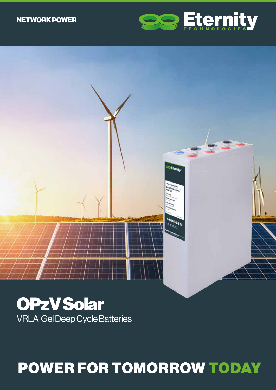# NETWORK POWER





OPzV Solar VRLA Gel Deep Cycle Batteries

# POWER FOR TOMORROW TODAY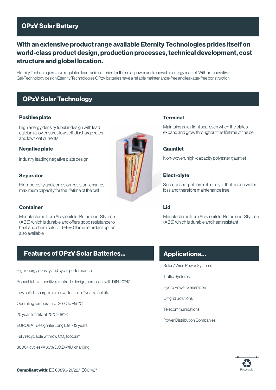# OPzV Solar Battery

# With an extensive product range available Eternity Technologies prides itself on world-class product design, production processes, technical development, cost structure and global location.

Eternity Technologies valve regulated lead-acid batteries for the solar power and renewable energy market. With an innovative Gel-Technology design Eternity Technologies OPzV batteries have a reliable maintenance-free and leakage-free construction.

## OPzV Solar Technology

#### Positive plate

High energy density tubular design with lead calcium alloy ensures low self-discharge rates and low float currents

#### Negative plate

Industry leading negative plate design

#### **Separator**

High-porosity and corrosion-resistant ensures maximum capacity for the lifetime of the cell

#### **Container**

Manufactured from Acrylonitrile-Butadiene-Styrene (ABS) which is durable and offers good resistance to heat and chemicals. UL94-V0 flame retardant option also available

## Features of OPzV Solar Batteries...

High energy density and cyclic performance

Robust tubular positive electrode design, compliant with DIN 40742

Low self discharge rate allows for up to 2 years shelf life

Operating temperature -20°C to +55°C

20 year float life at 20°C (68°F)

EUROBAT design life: Long Life > 12 years

Fully recyclable with low  $\mathrm{CO}_2^{}$  footprint

3000+ cycles @ 60% D.O.D @IUI charging



#### Terminal

Maintains an airtight seal even when the plates expand and grow throughout the lifetime of the cell

#### **Gauntlet**

Non-woven, high-capacity polyester gauntlet

#### **Electrolyte**

Silica-based-gel-form electrolyte that has no water loss and therefore maintenance free

#### Lid

Manufactured from Acrylonitrile-Butadiene-Styrene (ABS) which is durable and heat resistant

## Applications...

Solar / Wind Power Systems

Traffic Systems

Hydro Power Generation

Off grid Solutions

**Telecommunications** 

Power Distribution Companies

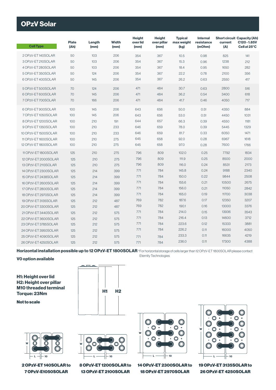# OPzV Solar

| <b>Cell Type</b>     | <b>Plate</b><br>(Ah) | Length<br>(mm) | <b>Width</b><br>(mm) | <b>Height</b><br>over lid<br>(mm) | <b>Height</b><br>over pillar<br>(mm) | <b>Typical</b><br>max weight<br>(kg) | <b>Internal</b><br>resistance<br>(mOhm) | current<br>(A) | <b>Short circuit Capacity (Ah)</b><br>C120-1.85V<br>Cell at 25°C |
|----------------------|----------------------|----------------|----------------------|-----------------------------------|--------------------------------------|--------------------------------------|-----------------------------------------|----------------|------------------------------------------------------------------|
| 2 OPzV-ET140SOLAR    | 50                   | 103            | 206                  | 354                               | 367                                  | 10.5                                 | 0.98                                    | 825            | 141                                                              |
| 3 OPzV-ET 210SOLAR   | 50                   | 103            | 206                  | 354                               | 367                                  | 15.3                                 | 0.96                                    | 1238           | 212                                                              |
| 4 OPzV-ET 280SOLAR   | 50                   | 103            | 206                  | 354                               | 367                                  | 18.4                                 | 0.95                                    | 1650           | 282                                                              |
| 5 OPzV-ET 350SOLAR   | 50                   | 124            | 206                  | 354                               | 367                                  | 22.2                                 | 0.78                                    | 2100           | 356                                                              |
| 6 OPzV-ET 400SOLAR   | 50                   | 145            | 206                  | 354                               | 367                                  | 26.2                                 | 0.63                                    | 2550           | 417                                                              |
| 5 OPzV-ET 500SOLAR   | 70                   | 124            | 206                  | 471                               | 484                                  | 30.7                                 | 0.63                                    | 2800           | 516                                                              |
| 6 OPzV-ET 600SOLAR   | 70                   | 145            | 206                  | 471                               | 484                                  | 36.2                                 | 0.54                                    | 3400           | 618                                                              |
| 7 OPzV-ET 700SOLAR   | 70                   | 166            | 206                  | 471                               | 484                                  | 41.7                                 | 0.46                                    | 4050           | 717                                                              |
| 6 OPzV-ET 900SOLAR   | 100                  | 145            | 206                  | 643                               | 656                                  | 50.0                                 | 0.51                                    | 4350           | 884                                                              |
| 7 OPzV-ET 1050SOLAR  | 100                  | 145            | 206                  | 643                               | 656                                  | 53.0                                 | 0.51                                    | 4450           | 1031                                                             |
| 8 OPzV-ET1200SOLAR   | 100                  | 210            | 191                  | 644                               | 657                                  | 66.3                                 | 0.39                                    | 4550           | 1181                                                             |
| 9 OPzV-ET 1350SOLAR  | 100                  | 210            | 233                  | 646                               | 659                                  | 78.0                                 | 0.39                                    | 5445           | 1329                                                             |
| 10 OPzV-ET1500SOLAR  | 100                  | 210            | 233                  | 646                               | 659                                  | 81.7                                 | 0.33                                    | 6050           | 1471                                                             |
| 11 OPzV-ET1600SOLAR  | 100                  | 210            | 275                  | 645                               | 658                                  | 92.0                                 | 0.28                                    | 6967           | 1618                                                             |
| 12 OPzV-ET1800SOLAR  | 100                  | 210            | 275                  | 645                               | 658                                  | 97.0                                 | 0.28                                    | 7600           | 1766                                                             |
| 11 OPzV-ET 1800SOLAR | 125                  | 210            | 275                  | 796                               | 809                                  | 102.0                                | 0.25                                    | 7792           | 1834                                                             |
| 12 OPzV-ET 2000SOLAR | 125                  | 210            | 275                  | 796                               | 809                                  | 111.9                                | 0.25                                    | 8500           | 2000                                                             |
| 13 OPzV-ET 2113SOLAR | 125                  | 210            | 275                  | 796                               | 809                                  | 116.0                                | 0.24                                    | 8531           | 2173                                                             |
| 14 OPzV-ET 2300SOLAR | 125                  | 214            | 399                  | 771                               | 784                                  | 145.8                                | 0.24                                    | 9188           | 2340                                                             |
| 15 OPzV-ET 2438SOLAR | 125                  | 214            | 399                  | 771                               | 784                                  | 150.0                                | 0.22                                    | 9844           | 2508                                                             |
| 16 OPzV-ET 2600SOLAR | 125                  | 214            | 399                  | 771                               | 784                                  | 155.6                                | 0.21                                    | 10500          | 2675                                                             |
| 17 OPzV-ET 2800SOLAR | 125                  | 214            | 399                  | 771                               | 784                                  | 156.0                                | 0.21                                    | 11050          | 2842                                                             |
| 18 OPzV-ET 2970SOLAR | 125                  | 214            | 399                  | 771                               | 784                                  | 165.0                                | 0.19                                    | 11700          | 3038                                                             |
| 19 OPzV-ET 3135SOLAR | 125                  | 212            | 487                  | 769                               | 782                                  | 187.6                                | 0.17                                    | 12350          | 3207                                                             |
| 20 OPzV-ET 3300SOLAR | 125                  | 212            | 487                  | 769                               | 782                                  | 190.1                                | 0.16                                    | 13000          | 3376                                                             |
| 21 OPzV-ET 3440SOLAR | 125                  | 212            | 575                  | 771                               | 784                                  | 214.0                                | 0.15                                    | 13936          | 3543                                                             |
| 22 OPzV-ET 3600SOLAR | 125                  | 212            | 575                  | 771                               | 784                                  | 216.4                                | 0.13                                    | 14600          | 3712                                                             |
| 23 OPzV-ET 3785SOLAR | 125                  | 212            | 575                  | 771                               | 784                                  | 223.6                                | 0.12                                    | 15333          | 3881                                                             |
| 24 OPzV-ET 3950SOLAR | 125                  | 212            | 575                  | 771                               | 784                                  | 226.2                                | 0.11                                    | 16000          | 4050                                                             |
| 25 OPzV-ET 4090SOLAR | 125                  | 212            | 575                  | 771                               | 784                                  | 233.3                                | 0.11                                    | 16635          | 4219                                                             |
| 26 OPzV-ET 4250SOLAR | 125                  | 212            | 575                  | 771                               | 784                                  | 236.0                                | 0.11                                    | 17300          | 4388                                                             |

Horizontal installation possible up to 12 OPzV-ET 1800SOLAR \*For horizontal storage of cells larger than 12 OPzV-ET 1800SOLAR please contact Eternity Technologies

#### V0 option available

H1: Height over lid H2: Height over pillar M10 threaded terminal Torque: 23Nm

Not to scale





2 OPzV-ET 140SOLAR to 7 OPzV-E1050SOLAR



8 OPzV-ET 1200SOLAR to 13 OPzV-ET 2100SOLAR



14 OPzV-ET 2300SOLAR to 18 OPzV-ET 2970SOLAR



19 OPzV-ET 3135SOLAR to 26 OPzV-ET 4250SOLAR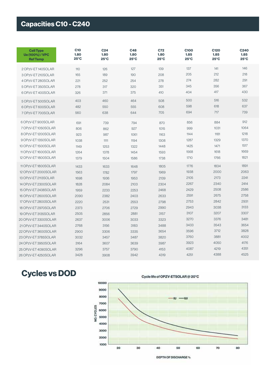# Capacities C10 - C240

| <b>Cell Type</b><br><b>Ue (100%) / VPC</b><br><b>Ref Temp</b> | <b>C10</b><br>1.80<br>$25^{\circ}$ C | C <sub>24</sub><br>1.80<br>$25^{\circ}$ C | C48<br>1.80<br>$25^{\circ}$ C | C72<br>1.80<br>$25^{\circ}$ C | <b>C100</b><br>1.85<br>$25^{\circ}$ C | C <sub>120</sub><br>1.85<br>$25^{\circ}$ C | <b>C240</b><br>1.85<br>$25^{\circ}$ C |
|---------------------------------------------------------------|--------------------------------------|-------------------------------------------|-------------------------------|-------------------------------|---------------------------------------|--------------------------------------------|---------------------------------------|
| 2 OPzV-ET140SOLAR                                             | 110                                  | 126                                       | 127                           | 139                           | 137                                   | 141                                        | 146                                   |
| 3 OPzV-ET 210SOLAR                                            | 165                                  | 189                                       | 190                           | 208                           | 205                                   | 212                                        | 218                                   |
| 4 OPzV-ET 280SOLAR                                            | 221                                  | 252                                       | 254                           | 278                           | 274                                   | 282                                        | 291                                   |
| 5 OPzV-ET 350SOLAR                                            | 278                                  | 317                                       | 320                           | 351                           | 345                                   | 356                                        | 367                                   |
| 6 OPzV-ET 400SOLAR                                            | 326                                  | 371                                       | 375                           | 410                           | 404                                   | 417                                        | 430                                   |
| 5 OPzV-ET 500SOLAR                                            | 403                                  | 460                                       | 464                           | 508                           | 500                                   | 516                                        | 532                                   |
| 6 OPzV-ET 600SOLAR                                            | 482                                  | 550                                       | 555                           | 608                           | 598                                   | 618                                        | 637                                   |
| 7 OPzV-ET 700SOLAR                                            | 560                                  | 638                                       | 644                           | 705                           | 694                                   | 717                                        | 739                                   |
| 6 OPzV-ET 900SOLAR                                            | 691                                  | 739                                       | 794                           | 870                           | 856                                   | 884                                        | 912                                   |
| 7 OPzV-ET 1050SOLAR                                           | 806                                  | 862                                       | 927                           | 1015                          | 999                                   | 1031                                       | 1064                                  |
| 8 OPzV-ET 1200SOLAR                                           | 923                                  | 987                                       | 1061                          | 1163                          | 1144                                  | 1181                                       | 1218                                  |
| 9 OPzV-ET 1350SOLAR                                           | 1038                                 | 1111                                      | 1194                          | 1308                          | 1287                                  | 1329                                       | 1370                                  |
| 10 OPzV-ET 1500SOLAR                                          | 1149                                 | 1253                                      | 1322                          | 1448                          | 1425                                  | 1471                                       | 1517                                  |
| 11 OPzV-ET 1600 SOLAR                                         | 1264                                 | 1378                                      | 1454                          | 1593                          | 1568                                  | 1618                                       | 1669                                  |
| 12 OPzV-ET 1800SOLAR                                          | 1379                                 | 1504                                      | 1586                          | 1738                          | 1710                                  | 1766                                       | 1821                                  |
| 11 OPzV-ET1800SOLAR                                           | 1433                                 | 1633                                      | 1648                          | 1805                          | 1776                                  | 1834                                       | 1891                                  |
| 12 OPzV-ET 2000SOLAR                                          | 1563                                 | 1782                                      | 1797                          | 1969                          | 1938                                  | 2000                                       | 2063                                  |
| 13 OPzV-ET 2113 SOLAR                                         | 1698                                 | 1936                                      | 1953                          | 2139                          | 2105                                  | 2173                                       | 2241                                  |
| 14 OPzV-ET 2300SOLAR                                          | 1828                                 | 2084                                      | 2103                          | 2304                          | 2267                                  | 2340                                       | 2414                                  |
| 15 OPzV-ET 2438SOLAR                                          | 1959                                 | 2233                                      | 2253                          | 2468                          | 2429                                  | 2508                                       | 2586                                  |
| 16 OPzV-ET 2600SOLAR                                          | 2090                                 | 2382                                      | 2403                          | 2633                          | 2591                                  | 2675                                       | 2758                                  |
| 17 OPzV-ET 2800SOLAR                                          | 2220                                 | 2531                                      | 2553                          | 2798                          | 2753                                  | 2842                                       | 2931                                  |
| 18 OPzV-ET 2970SOLAR                                          | 2373                                 | 2706                                      | 2729                          | 2990                          | 2943                                  | 3038                                       | 3133                                  |
| 19 OPzV-ET 3135SOLAR                                          | 2505                                 | 2856                                      | 2881                          | 3157                          | 3107                                  | 3207                                       | 3307                                  |
| 20 OPzV-ET3300SOLAR                                           | 2637                                 | 3006                                      | 3033                          | 3323                          | 3270                                  | 3376                                       | 3481                                  |
| 21 OPzV-ET 3440 SOLAR                                         | 2768                                 | 3156                                      | 3183                          | 3488                          | 3433                                  | 3543                                       | 3654                                  |
| 22 OPzV-ET 3600SOLAR                                          | 2900                                 | 3306                                      | 3335                          | 3654                          | 3596                                  | 3712                                       | 3828                                  |
| 23 OPzV-ET 3785SOLAR                                          | 3032                                 | 3457                                      | 3487                          | 3820                          | 3760                                  | 3881                                       | 4002                                  |
| 24 OPzV-ET3950SOLAR                                           | 3164                                 | 3607                                      | 3639                          | 3987                          | 3923                                  | 4050                                       | 4176                                  |
| 25 OPzV-ET 4090SOLAR                                          | 3296                                 | 3757                                      | 3790                          | 4153                          | 4087                                  | 4219                                       | 4351                                  |
| 26 OPzV-ET 4250SOLAR                                          | 3428                                 | 3908                                      | 3942                          | 4319                          | 4251                                  | 4388                                       | 4525                                  |

# Cycles vs DOD